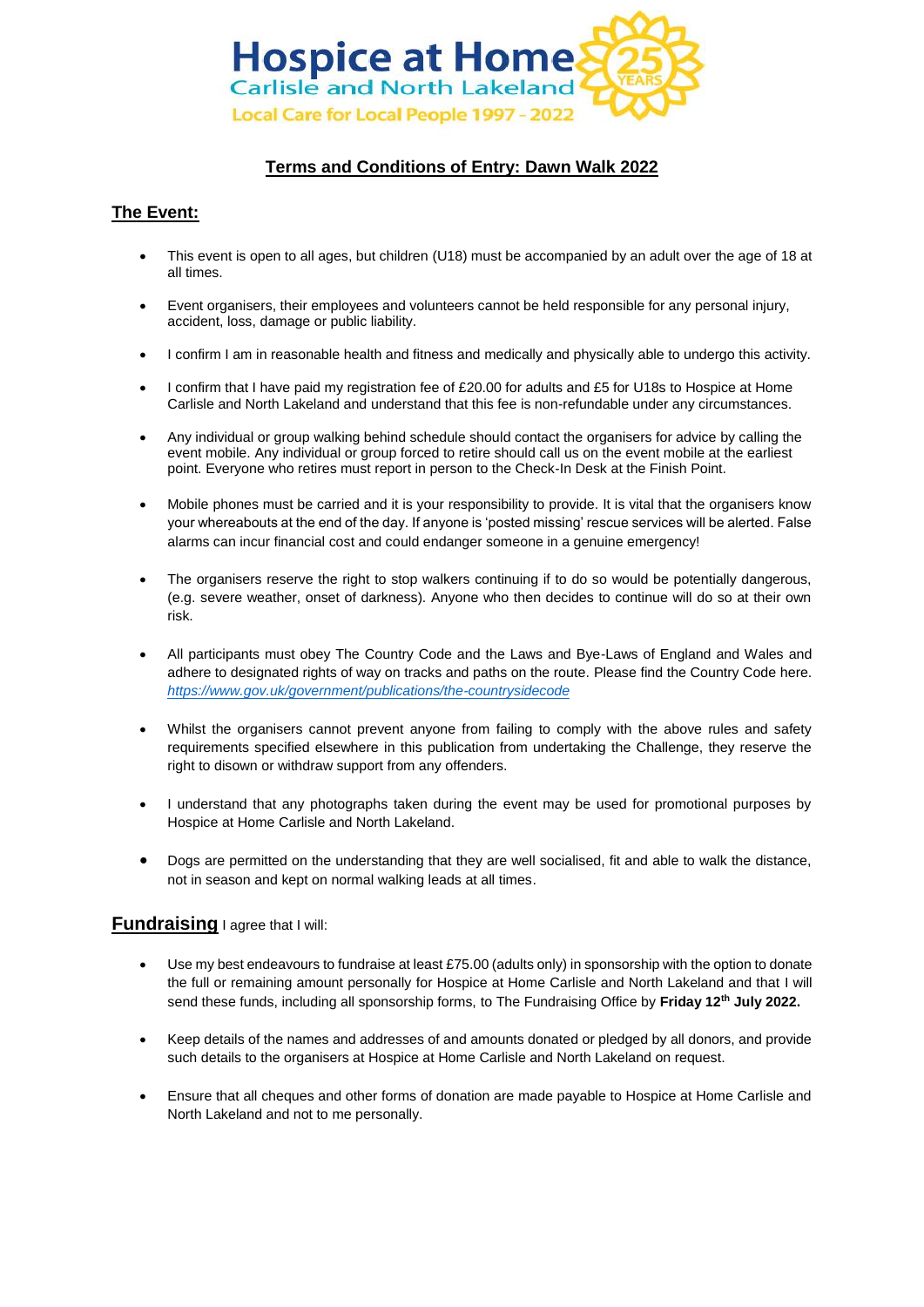

## **Terms and Conditions of Entry: Dawn Walk 2022**

## **The Event:**

- This event is open to all ages, but children (U18) must be accompanied by an adult over the age of 18 at all times.
- Event organisers, their employees and volunteers cannot be held responsible for any personal injury, accident, loss, damage or public liability.
- I confirm I am in reasonable health and fitness and medically and physically able to undergo this activity.
- I confirm that I have paid my registration fee of £20.00 for adults and £5 for U18s to Hospice at Home Carlisle and North Lakeland and understand that this fee is non-refundable under any circumstances.
- Any individual or group walking behind schedule should contact the organisers for advice by calling the event mobile. Any individual or group forced to retire should call us on the event mobile at the earliest point. Everyone who retires must report in person to the Check-In Desk at the Finish Point.
- Mobile phones must be carried and it is your responsibility to provide. It is vital that the organisers know your whereabouts at the end of the day. If anyone is 'posted missing' rescue services will be alerted. False alarms can incur financial cost and could endanger someone in a genuine emergency!
- The organisers reserve the right to stop walkers continuing if to do so would be potentially dangerous, (e.g. severe weather, onset of darkness). Anyone who then decides to continue will do so at their own risk.
- All participants must obey The Country Code and the Laws and Bye-Laws of England and Wales and adhere to designated rights of way on tracks and paths on the route. Please find the Country Code here. *<https://www.gov.uk/government/publications/the-countrysidecode>*
- Whilst the organisers cannot prevent anyone from failing to comply with the above rules and safety requirements specified elsewhere in this publication from undertaking the Challenge, they reserve the right to disown or withdraw support from any offenders.
- I understand that any photographs taken during the event may be used for promotional purposes by Hospice at Home Carlisle and North Lakeland.
- Dogs are permitted on the understanding that they are well socialised, fit and able to walk the distance, not in season and kept on normal walking leads at all times.

## **Fundraising** I agree that I will:

- Use my best endeavours to fundraise at least £75.00 (adults only) in sponsorship with the option to donate the full or remaining amount personally for Hospice at Home Carlisle and North Lakeland and that I will send these funds, including all sponsorship forms, to The Fundraising Office by **Friday 12th July 2022.**
- Keep details of the names and addresses of and amounts donated or pledged by all donors, and provide such details to the organisers at Hospice at Home Carlisle and North Lakeland on request.
- Ensure that all cheques and other forms of donation are made payable to Hospice at Home Carlisle and North Lakeland and not to me personally.